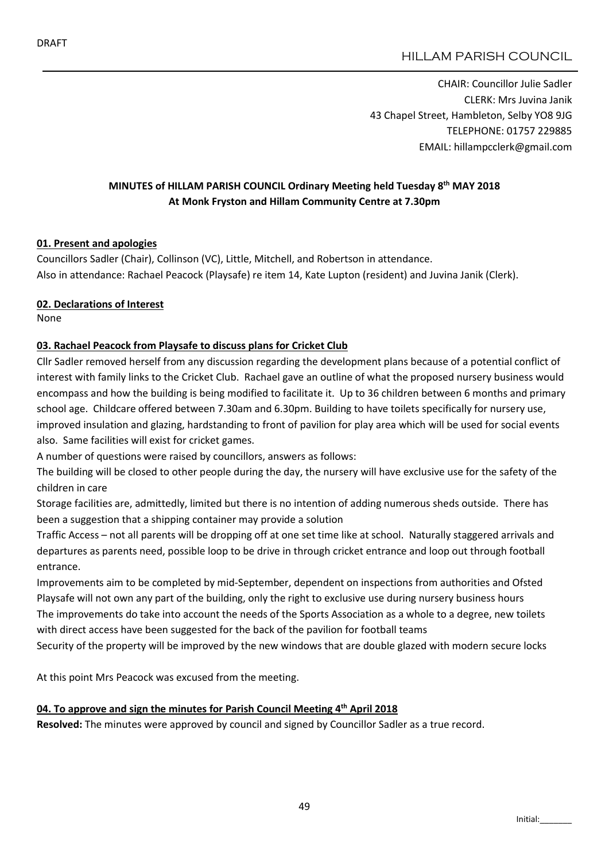CHAIR: Councillor Julie Sadler CLERK: Mrs Juvina Janik 43 Chapel Street, Hambleton, Selby YO8 9JG TELEPHONE: 01757 229885 EMAIL: hillampcclerk@gmail.com

# MINUTES of HILLAM PARISH COUNCIL Ordinary Meeting held Tuesday 8th MAY 2018 At Monk Fryston and Hillam Community Centre at 7.30pm

## 01. Present and apologies

Councillors Sadler (Chair), Collinson (VC), Little, Mitchell, and Robertson in attendance. Also in attendance: Rachael Peacock (Playsafe) re item 14, Kate Lupton (resident) and Juvina Janik (Clerk).

## 02. Declarations of Interest

None

## 03. Rachael Peacock from Playsafe to discuss plans for Cricket Club

Cllr Sadler removed herself from any discussion regarding the development plans because of a potential conflict of interest with family links to the Cricket Club. Rachael gave an outline of what the proposed nursery business would encompass and how the building is being modified to facilitate it. Up to 36 children between 6 months and primary school age. Childcare offered between 7.30am and 6.30pm. Building to have toilets specifically for nursery use, improved insulation and glazing, hardstanding to front of pavilion for play area which will be used for social events also. Same facilities will exist for cricket games.

A number of questions were raised by councillors, answers as follows:

The building will be closed to other people during the day, the nursery will have exclusive use for the safety of the children in care

Storage facilities are, admittedly, limited but there is no intention of adding numerous sheds outside. There has been a suggestion that a shipping container may provide a solution

Traffic Access – not all parents will be dropping off at one set time like at school. Naturally staggered arrivals and departures as parents need, possible loop to be drive in through cricket entrance and loop out through football entrance.

Improvements aim to be completed by mid-September, dependent on inspections from authorities and Ofsted Playsafe will not own any part of the building, only the right to exclusive use during nursery business hours The improvements do take into account the needs of the Sports Association as a whole to a degree, new toilets with direct access have been suggested for the back of the pavilion for football teams

Security of the property will be improved by the new windows that are double glazed with modern secure locks

At this point Mrs Peacock was excused from the meeting.

## 04. To approve and sign the minutes for Parish Council Meeting 4<sup>th</sup> April 2018

Resolved: The minutes were approved by council and signed by Councillor Sadler as a true record.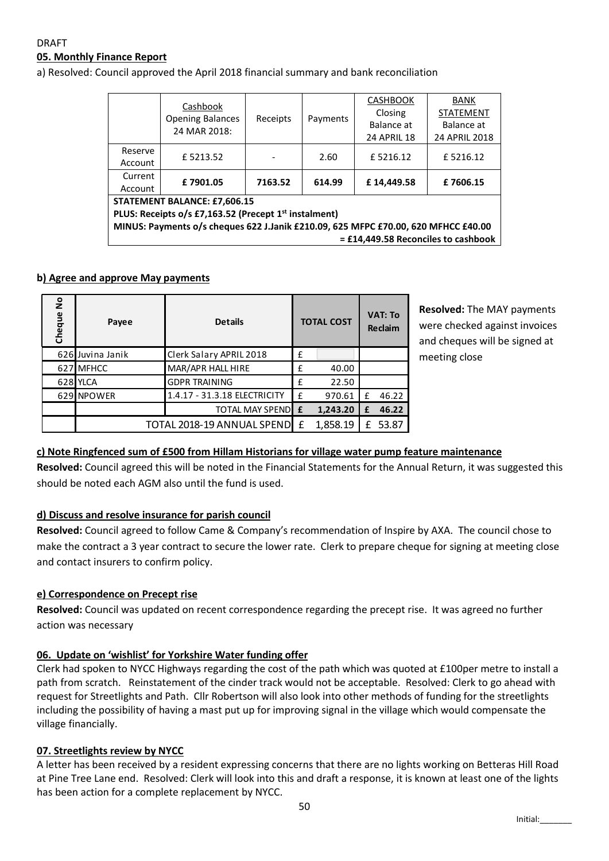## DRAFT 05. Monthly Finance Report

a) Resolved: Council approved the April 2018 financial summary and bank reconciliation

|                                                                                    | Cashbook<br><b>Opening Balances</b><br>24 MAR 2018: | Receipts |          | <b>CASHBOOK</b>    | <b>BANK</b>      |  |  |  |  |  |
|------------------------------------------------------------------------------------|-----------------------------------------------------|----------|----------|--------------------|------------------|--|--|--|--|--|
|                                                                                    |                                                     |          | Payments | Closing            | <b>STATEMENT</b> |  |  |  |  |  |
|                                                                                    |                                                     |          |          | Balance at         | Balance at       |  |  |  |  |  |
|                                                                                    |                                                     |          |          | <b>24 APRIL 18</b> | 24 APRIL 2018    |  |  |  |  |  |
| Reserve                                                                            | £5213.52                                            |          | 2.60     | £5216.12           | £5216.12         |  |  |  |  |  |
| Account                                                                            |                                                     | 7163.52  | 614.99   |                    |                  |  |  |  |  |  |
| Current                                                                            | £7901.05                                            |          |          | £14,449.58         | £7606.15         |  |  |  |  |  |
| Account                                                                            |                                                     |          |          |                    |                  |  |  |  |  |  |
| <b>STATEMENT BALANCE: £7,606.15</b>                                                |                                                     |          |          |                    |                  |  |  |  |  |  |
| PLUS: Receipts o/s £7,163.52 (Precept 1 <sup>st</sup> instalment)                  |                                                     |          |          |                    |                  |  |  |  |  |  |
| MINUS: Payments o/s cheques 622 J.Janik £210.09, 625 MFPC £70.00, 620 MFHCC £40.00 |                                                     |          |          |                    |                  |  |  |  |  |  |
| = £14,449.58 Reconciles to cashbook                                                |                                                     |          |          |                    |                  |  |  |  |  |  |

#### b) Agree and approve May payments

| $\frac{1}{2}$<br>Cheque | Payee                        | <b>Details</b>               | <b>TOTAL COST</b> |          | <b>VAT: To</b><br>Reclaim |       |
|-------------------------|------------------------------|------------------------------|-------------------|----------|---------------------------|-------|
|                         | 626 Juvina Janik             | Clerk Salary APRIL 2018      | £                 |          |                           |       |
|                         | 627 MFHCC                    | MAR/APR HALL HIRE            | £                 | 40.00    |                           |       |
|                         | 628 YLCA                     | <b>GDPR TRAINING</b>         | £                 | 22.50    |                           |       |
|                         | 629 NPOWER                   | 1.4.17 - 31.3.18 ELECTRICITY | £                 | 970.61   | f                         | 46.22 |
|                         |                              | <b>TOTAL MAY SPENDE E</b>    |                   | 1,243.20 | £                         | 46.22 |
|                         | TOTAL 2018-19 ANNUAL SPENDEE |                              | 1,858.19          | £        | 53.87                     |       |

Resolved: The MAY payments were checked against invoices and cheques will be signed at meeting close

# c) Note Ringfenced sum of £500 from Hillam Historians for village water pump feature maintenance

Resolved: Council agreed this will be noted in the Financial Statements for the Annual Return, it was suggested this should be noted each AGM also until the fund is used.

## d) Discuss and resolve insurance for parish council

Resolved: Council agreed to follow Came & Company's recommendation of Inspire by AXA. The council chose to make the contract a 3 year contract to secure the lower rate. Clerk to prepare cheque for signing at meeting close and contact insurers to confirm policy.

## e) Correspondence on Precept rise

Resolved: Council was updated on recent correspondence regarding the precept rise. It was agreed no further action was necessary

## 06. Update on 'wishlist' for Yorkshire Water funding offer

Clerk had spoken to NYCC Highways regarding the cost of the path which was quoted at £100per metre to install a path from scratch. Reinstatement of the cinder track would not be acceptable. Resolved: Clerk to go ahead with request for Streetlights and Path. Cllr Robertson will also look into other methods of funding for the streetlights including the possibility of having a mast put up for improving signal in the village which would compensate the village financially.

## 07. Streetlights review by NYCC

A letter has been received by a resident expressing concerns that there are no lights working on Betteras Hill Road at Pine Tree Lane end. Resolved: Clerk will look into this and draft a response, it is known at least one of the lights has been action for a complete replacement by NYCC.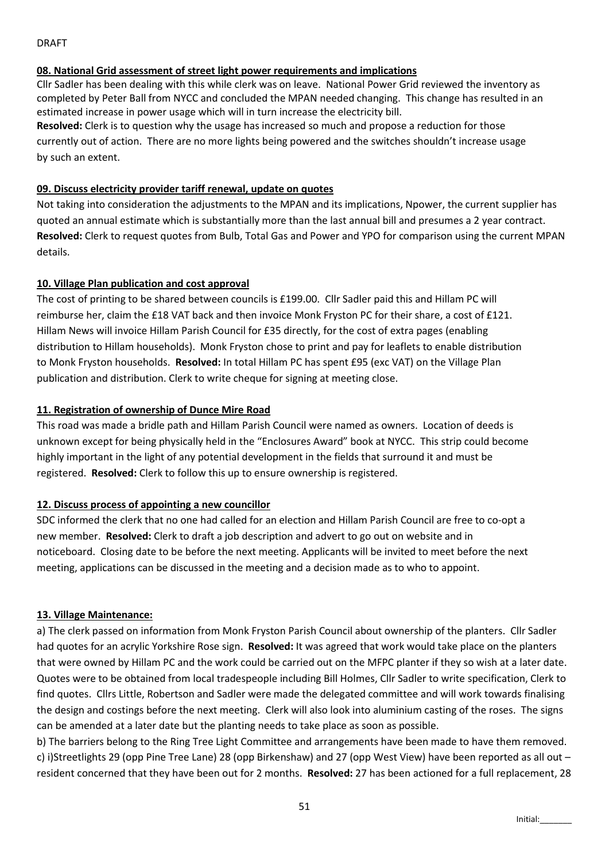#### DRAFT

#### 08. National Grid assessment of street light power requirements and implications

Cllr Sadler has been dealing with this while clerk was on leave. National Power Grid reviewed the inventory as completed by Peter Ball from NYCC and concluded the MPAN needed changing. This change has resulted in an estimated increase in power usage which will in turn increase the electricity bill.

Resolved: Clerk is to question why the usage has increased so much and propose a reduction for those currently out of action. There are no more lights being powered and the switches shouldn't increase usage by such an extent.

## 09. Discuss electricity provider tariff renewal, update on quotes

Not taking into consideration the adjustments to the MPAN and its implications, Npower, the current supplier has quoted an annual estimate which is substantially more than the last annual bill and presumes a 2 year contract. Resolved: Clerk to request quotes from Bulb, Total Gas and Power and YPO for comparison using the current MPAN details.

## 10. Village Plan publication and cost approval

The cost of printing to be shared between councils is £199.00. Cllr Sadler paid this and Hillam PC will reimburse her, claim the £18 VAT back and then invoice Monk Fryston PC for their share, a cost of £121. Hillam News will invoice Hillam Parish Council for £35 directly, for the cost of extra pages (enabling distribution to Hillam households). Monk Fryston chose to print and pay for leaflets to enable distribution to Monk Fryston households. Resolved: In total Hillam PC has spent £95 (exc VAT) on the Village Plan publication and distribution. Clerk to write cheque for signing at meeting close.

## 11. Registration of ownership of Dunce Mire Road

This road was made a bridle path and Hillam Parish Council were named as owners. Location of deeds is unknown except for being physically held in the "Enclosures Award" book at NYCC. This strip could become highly important in the light of any potential development in the fields that surround it and must be registered. Resolved: Clerk to follow this up to ensure ownership is registered.

## 12. Discuss process of appointing a new councillor

SDC informed the clerk that no one had called for an election and Hillam Parish Council are free to co-opt a new member. Resolved: Clerk to draft a job description and advert to go out on website and in noticeboard. Closing date to be before the next meeting. Applicants will be invited to meet before the next meeting, applications can be discussed in the meeting and a decision made as to who to appoint.

## 13. Village Maintenance:

a) The clerk passed on information from Monk Fryston Parish Council about ownership of the planters. Cllr Sadler had quotes for an acrylic Yorkshire Rose sign. Resolved: It was agreed that work would take place on the planters that were owned by Hillam PC and the work could be carried out on the MFPC planter if they so wish at a later date. Quotes were to be obtained from local tradespeople including Bill Holmes, Cllr Sadler to write specification, Clerk to find quotes. Cllrs Little, Robertson and Sadler were made the delegated committee and will work towards finalising the design and costings before the next meeting. Clerk will also look into aluminium casting of the roses. The signs can be amended at a later date but the planting needs to take place as soon as possible.

b) The barriers belong to the Ring Tree Light Committee and arrangements have been made to have them removed. c) i)Streetlights 29 (opp Pine Tree Lane) 28 (opp Birkenshaw) and 27 (opp West View) have been reported as all out – resident concerned that they have been out for 2 months. Resolved: 27 has been actioned for a full replacement, 28